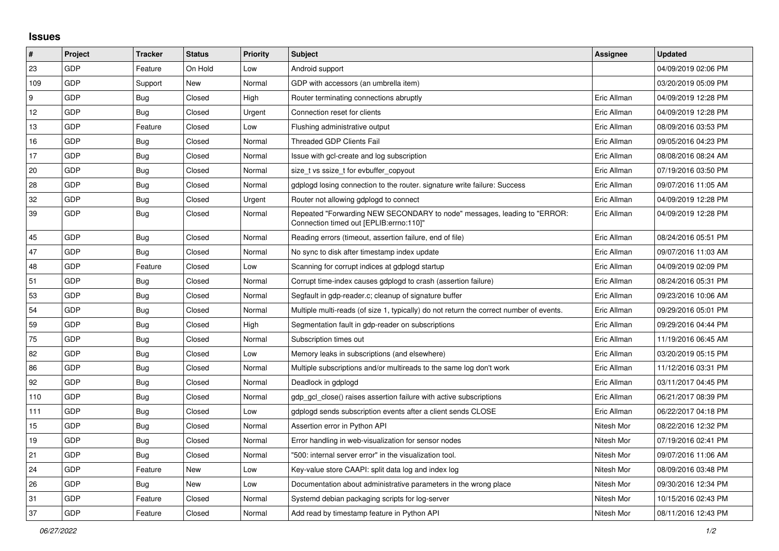## **Issues**

| $\pmb{\sharp}$ | Project    | <b>Tracker</b> | <b>Status</b> | <b>Priority</b> | <b>Subject</b>                                                                                                      | Assignee    | <b>Updated</b>      |
|----------------|------------|----------------|---------------|-----------------|---------------------------------------------------------------------------------------------------------------------|-------------|---------------------|
| 23             | GDP        | Feature        | On Hold       | Low             | Android support                                                                                                     |             | 04/09/2019 02:06 PM |
| 109            | GDP        | Support        | New           | Normal          | GDP with accessors (an umbrella item)                                                                               |             | 03/20/2019 05:09 PM |
| 9              | GDP        | Bug            | Closed        | High            | Router terminating connections abruptly                                                                             | Eric Allman | 04/09/2019 12:28 PM |
| 12             | GDP        | Bug            | Closed        | Urgent          | Connection reset for clients                                                                                        | Eric Allman | 04/09/2019 12:28 PM |
| 13             | <b>GDP</b> | Feature        | Closed        | Low             | Flushing administrative output                                                                                      | Eric Allman | 08/09/2016 03:53 PM |
| 16             | GDP        | Bug            | Closed        | Normal          | <b>Threaded GDP Clients Fail</b>                                                                                    | Eric Allman | 09/05/2016 04:23 PM |
| 17             | <b>GDP</b> | Bug            | Closed        | Normal          | Issue with gcl-create and log subscription                                                                          | Eric Allman | 08/08/2016 08:24 AM |
| 20             | GDP        | <b>Bug</b>     | Closed        | Normal          | size t vs ssize t for evbuffer copyout                                                                              | Eric Allman | 07/19/2016 03:50 PM |
| 28             | GDP        | <b>Bug</b>     | Closed        | Normal          | gdplogd losing connection to the router. signature write failure: Success                                           | Eric Allman | 09/07/2016 11:05 AM |
| 32             | GDP        | <b>Bug</b>     | Closed        | Urgent          | Router not allowing gdplogd to connect                                                                              | Eric Allman | 04/09/2019 12:28 PM |
| 39             | GDP        | <b>Bug</b>     | Closed        | Normal          | Repeated "Forwarding NEW SECONDARY to node" messages, leading to "ERROR:<br>Connection timed out [EPLIB:errno:110]" | Eric Allman | 04/09/2019 12:28 PM |
| 45             | <b>GDP</b> | Bug            | Closed        | Normal          | Reading errors (timeout, assertion failure, end of file)                                                            | Eric Allman | 08/24/2016 05:51 PM |
| 47             | GDP        | Bug            | Closed        | Normal          | No sync to disk after timestamp index update                                                                        | Eric Allman | 09/07/2016 11:03 AM |
| 48             | GDP        | Feature        | Closed        | Low             | Scanning for corrupt indices at gdplogd startup                                                                     | Eric Allman | 04/09/2019 02:09 PM |
| 51             | GDP        | Bug            | Closed        | Normal          | Corrupt time-index causes gdplogd to crash (assertion failure)                                                      | Eric Allman | 08/24/2016 05:31 PM |
| 53             | GDP        | Bug            | Closed        | Normal          | Segfault in gdp-reader.c; cleanup of signature buffer                                                               | Eric Allman | 09/23/2016 10:06 AM |
| 54             | <b>GDP</b> | Bug            | Closed        | Normal          | Multiple multi-reads (of size 1, typically) do not return the correct number of events.                             | Eric Allman | 09/29/2016 05:01 PM |
| 59             | GDP        | <b>Bug</b>     | Closed        | High            | Segmentation fault in gdp-reader on subscriptions                                                                   | Eric Allman | 09/29/2016 04:44 PM |
| $75\,$         | GDP        | <b>Bug</b>     | Closed        | Normal          | Subscription times out                                                                                              | Eric Allman | 11/19/2016 06:45 AM |
| 82             | GDP        | <b>Bug</b>     | Closed        | Low             | Memory leaks in subscriptions (and elsewhere)                                                                       | Eric Allman | 03/20/2019 05:15 PM |
| 86             | GDP        | <b>Bug</b>     | Closed        | Normal          | Multiple subscriptions and/or multireads to the same log don't work                                                 | Eric Allman | 11/12/2016 03:31 PM |
| 92             | GDP        | Bug            | Closed        | Normal          | Deadlock in gdplogd                                                                                                 | Eric Allman | 03/11/2017 04:45 PM |
| 110            | GDP        | Bug            | Closed        | Normal          | gdp gcl close() raises assertion failure with active subscriptions                                                  | Eric Allman | 06/21/2017 08:39 PM |
| 111            | GDP        | Bug            | Closed        | Low             | gdplogd sends subscription events after a client sends CLOSE                                                        | Eric Allman | 06/22/2017 04:18 PM |
| 15             | GDP        | Bug            | Closed        | Normal          | Assertion error in Python API                                                                                       | Nitesh Mor  | 08/22/2016 12:32 PM |
| 19             | <b>GDP</b> | Bug            | Closed        | Normal          | Error handling in web-visualization for sensor nodes                                                                | Nitesh Mor  | 07/19/2016 02:41 PM |
| 21             | GDP        | Bug            | Closed        | Normal          | "500: internal server error" in the visualization tool.                                                             | Nitesh Mor  | 09/07/2016 11:06 AM |
| 24             | GDP        | Feature        | New           | Low             | Key-value store CAAPI: split data log and index log                                                                 | Nitesh Mor  | 08/09/2016 03:48 PM |
| 26             | <b>GDP</b> | Bug            | New           | Low             | Documentation about administrative parameters in the wrong place                                                    | Nitesh Mor  | 09/30/2016 12:34 PM |
| 31             | GDP        | Feature        | Closed        | Normal          | Systemd debian packaging scripts for log-server                                                                     | Nitesh Mor  | 10/15/2016 02:43 PM |
| 37             | GDP        | Feature        | Closed        | Normal          | Add read by timestamp feature in Python API                                                                         | Nitesh Mor  | 08/11/2016 12:43 PM |